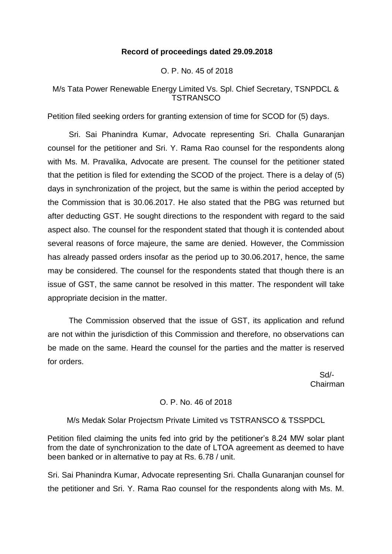# **Record of proceedings dated 29.09.2018**

O. P. No. 45 of 2018

# M/s Tata Power Renewable Energy Limited Vs. Spl. Chief Secretary, TSNPDCL & **TSTRANSCO**

Petition filed seeking orders for granting extension of time for SCOD for (5) days.

Sri. Sai Phanindra Kumar, Advocate representing Sri. Challa Gunaranjan counsel for the petitioner and Sri. Y. Rama Rao counsel for the respondents along with Ms. M. Pravalika, Advocate are present. The counsel for the petitioner stated that the petition is filed for extending the SCOD of the project. There is a delay of (5) days in synchronization of the project, but the same is within the period accepted by the Commission that is 30.06.2017. He also stated that the PBG was returned but after deducting GST. He sought directions to the respondent with regard to the said aspect also. The counsel for the respondent stated that though it is contended about several reasons of force majeure, the same are denied. However, the Commission has already passed orders insofar as the period up to 30.06.2017, hence, the same may be considered. The counsel for the respondents stated that though there is an issue of GST, the same cannot be resolved in this matter. The respondent will take appropriate decision in the matter.

The Commission observed that the issue of GST, its application and refund are not within the jurisdiction of this Commission and therefore, no observations can be made on the same. Heard the counsel for the parties and the matter is reserved for orders.

 Sd/- Chairman

# O. P. No. 46 of 2018

# M/s Medak Solar Projectsm Private Limited vs TSTRANSCO & TSSPDCL

Petition filed claiming the units fed into grid by the petitioner's 8.24 MW solar plant from the date of synchronization to the date of LTOA agreement as deemed to have been banked or in alternative to pay at Rs. 6.78 / unit.

Sri. Sai Phanindra Kumar, Advocate representing Sri. Challa Gunaranjan counsel for the petitioner and Sri. Y. Rama Rao counsel for the respondents along with Ms. M.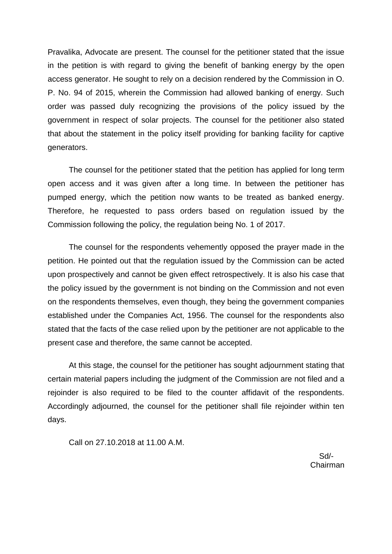Pravalika, Advocate are present. The counsel for the petitioner stated that the issue in the petition is with regard to giving the benefit of banking energy by the open access generator. He sought to rely on a decision rendered by the Commission in O. P. No. 94 of 2015, wherein the Commission had allowed banking of energy. Such order was passed duly recognizing the provisions of the policy issued by the government in respect of solar projects. The counsel for the petitioner also stated that about the statement in the policy itself providing for banking facility for captive generators.

The counsel for the petitioner stated that the petition has applied for long term open access and it was given after a long time. In between the petitioner has pumped energy, which the petition now wants to be treated as banked energy. Therefore, he requested to pass orders based on regulation issued by the Commission following the policy, the regulation being No. 1 of 2017.

The counsel for the respondents vehemently opposed the prayer made in the petition. He pointed out that the regulation issued by the Commission can be acted upon prospectively and cannot be given effect retrospectively. It is also his case that the policy issued by the government is not binding on the Commission and not even on the respondents themselves, even though, they being the government companies established under the Companies Act, 1956. The counsel for the respondents also stated that the facts of the case relied upon by the petitioner are not applicable to the present case and therefore, the same cannot be accepted.

At this stage, the counsel for the petitioner has sought adjournment stating that certain material papers including the judgment of the Commission are not filed and a rejoinder is also required to be filed to the counter affidavit of the respondents. Accordingly adjourned, the counsel for the petitioner shall file rejoinder within ten days.

Call on 27.10.2018 at 11.00 A.M.

 Sd/- Chairman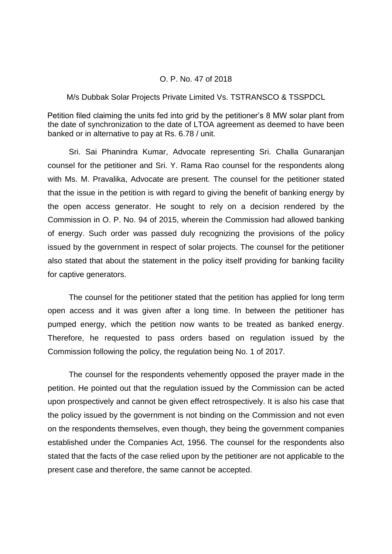#### O. P. No. 47 of 2018

### M/s Dubbak Solar Projects Private Limited Vs. TSTRANSCO & TSSPDCL

Petition filed claiming the units fed into grid by the petitioner's 8 MW solar plant from the date of synchronization to the date of LTOA agreement as deemed to have been banked or in alternative to pay at Rs. 6.78 / unit.

Sri. Sai Phanindra Kumar, Advocate representing Sri. Challa Gunaranjan counsel for the petitioner and Sri. Y. Rama Rao counsel for the respondents along with Ms. M. Pravalika, Advocate are present. The counsel for the petitioner stated that the issue in the petition is with regard to giving the benefit of banking energy by the open access generator. He sought to rely on a decision rendered by the Commission in O. P. No. 94 of 2015, wherein the Commission had allowed banking of energy. Such order was passed duly recognizing the provisions of the policy issued by the government in respect of solar projects. The counsel for the petitioner also stated that about the statement in the policy itself providing for banking facility for captive generators.

The counsel for the petitioner stated that the petition has applied for long term open access and it was given after a long time. In between the petitioner has pumped energy, which the petition now wants to be treated as banked energy. Therefore, he requested to pass orders based on regulation issued by the Commission following the policy, the regulation being No. 1 of 2017.

The counsel for the respondents vehemently opposed the prayer made in the petition. He pointed out that the regulation issued by the Commission can be acted upon prospectively and cannot be given effect retrospectively. It is also his case that the policy issued by the government is not binding on the Commission and not even on the respondents themselves, even though, they being the government companies established under the Companies Act, 1956. The counsel for the respondents also stated that the facts of the case relied upon by the petitioner are not applicable to the present case and therefore, the same cannot be accepted.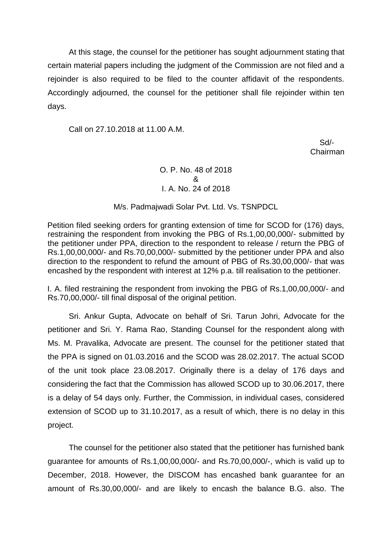At this stage, the counsel for the petitioner has sought adjournment stating that certain material papers including the judgment of the Commission are not filed and a rejoinder is also required to be filed to the counter affidavit of the respondents. Accordingly adjourned, the counsel for the petitioner shall file rejoinder within ten days.

Call on 27.10.2018 at 11.00 A.M.

 Sd/- Chairman

# O. P. No. 48 of 2018 & I. A. No. 24 of 2018

### M/s. Padmajwadi Solar Pvt. Ltd. Vs. TSNPDCL

Petition filed seeking orders for granting extension of time for SCOD for (176) days, restraining the respondent from invoking the PBG of Rs.1,00,00,000/- submitted by the petitioner under PPA, direction to the respondent to release / return the PBG of Rs.1,00,00,000/- and Rs.70,00,000/- submitted by the petitioner under PPA and also direction to the respondent to refund the amount of PBG of Rs.30,00,000/- that was encashed by the respondent with interest at 12% p.a. till realisation to the petitioner.

I. A. filed restraining the respondent from invoking the PBG of Rs.1,00,00,000/- and Rs.70,00,000/- till final disposal of the original petition.

Sri. Ankur Gupta, Advocate on behalf of Sri. Tarun Johri, Advocate for the petitioner and Sri. Y. Rama Rao, Standing Counsel for the respondent along with Ms. M. Pravalika, Advocate are present. The counsel for the petitioner stated that the PPA is signed on 01.03.2016 and the SCOD was 28.02.2017. The actual SCOD of the unit took place 23.08.2017. Originally there is a delay of 176 days and considering the fact that the Commission has allowed SCOD up to 30.06.2017, there is a delay of 54 days only. Further, the Commission, in individual cases, considered extension of SCOD up to 31.10.2017, as a result of which, there is no delay in this project.

The counsel for the petitioner also stated that the petitioner has furnished bank guarantee for amounts of Rs.1,00,00,000/- and Rs.70,00,000/-, which is valid up to December, 2018. However, the DISCOM has encashed bank guarantee for an amount of Rs.30,00,000/- and are likely to encash the balance B.G. also. The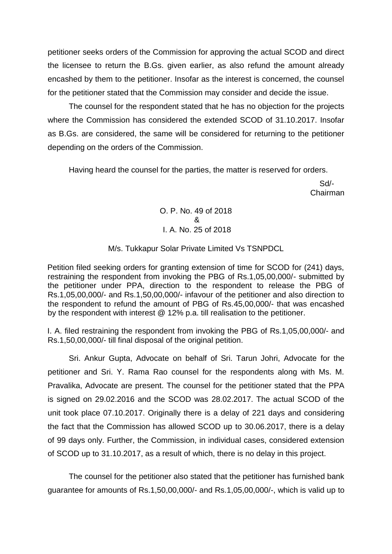petitioner seeks orders of the Commission for approving the actual SCOD and direct the licensee to return the B.Gs. given earlier, as also refund the amount already encashed by them to the petitioner. Insofar as the interest is concerned, the counsel for the petitioner stated that the Commission may consider and decide the issue.

The counsel for the respondent stated that he has no objection for the projects where the Commission has considered the extended SCOD of 31.10.2017. Insofar as B.Gs. are considered, the same will be considered for returning to the petitioner depending on the orders of the Commission.

Having heard the counsel for the parties, the matter is reserved for orders.

 Sd/- Chairman

> O. P. No. 49 of 2018 & I. A. No. 25 of 2018

# M/s. Tukkapur Solar Private Limited Vs TSNPDCL

Petition filed seeking orders for granting extension of time for SCOD for (241) days, restraining the respondent from invoking the PBG of Rs.1,05,00,000/- submitted by the petitioner under PPA, direction to the respondent to release the PBG of Rs.1,05,00,000/- and Rs.1,50,00,000/- infavour of the petitioner and also direction to the respondent to refund the amount of PBG of Rs.45,00,000/- that was encashed by the respondent with interest @ 12% p.a. till realisation to the petitioner.

I. A. filed restraining the respondent from invoking the PBG of Rs.1,05,00,000/- and Rs.1,50,00,000/- till final disposal of the original petition.

Sri. Ankur Gupta, Advocate on behalf of Sri. Tarun Johri, Advocate for the petitioner and Sri. Y. Rama Rao counsel for the respondents along with Ms. M. Pravalika, Advocate are present. The counsel for the petitioner stated that the PPA is signed on 29.02.2016 and the SCOD was 28.02.2017. The actual SCOD of the unit took place 07.10.2017. Originally there is a delay of 221 days and considering the fact that the Commission has allowed SCOD up to 30.06.2017, there is a delay of 99 days only. Further, the Commission, in individual cases, considered extension of SCOD up to 31.10.2017, as a result of which, there is no delay in this project.

The counsel for the petitioner also stated that the petitioner has furnished bank guarantee for amounts of Rs.1,50,00,000/- and Rs.1,05,00,000/-, which is valid up to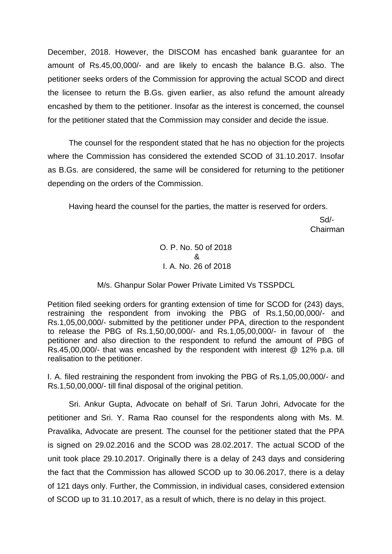December, 2018. However, the DISCOM has encashed bank guarantee for an amount of Rs.45,00,000/- and are likely to encash the balance B.G. also. The petitioner seeks orders of the Commission for approving the actual SCOD and direct the licensee to return the B.Gs. given earlier, as also refund the amount already encashed by them to the petitioner. Insofar as the interest is concerned, the counsel for the petitioner stated that the Commission may consider and decide the issue.

The counsel for the respondent stated that he has no objection for the projects where the Commission has considered the extended SCOD of 31.10.2017. Insofar as B.Gs. are considered, the same will be considered for returning to the petitioner depending on the orders of the Commission.

Having heard the counsel for the parties, the matter is reserved for orders.

 Sd/- Chairman

> O. P. No. 50 of 2018 & I. A. No. 26 of 2018

# M/s. Ghanpur Solar Power Private Limited Vs TSSPDCL

Petition filed seeking orders for granting extension of time for SCOD for (243) days, restraining the respondent from invoking the PBG of Rs.1,50,00,000/- and Rs.1,05,00,000/- submitted by the petitioner under PPA, direction to the respondent to release the PBG of Rs.1,50,00,000/- and Rs.1,05,00,000/- in favour of the petitioner and also direction to the respondent to refund the amount of PBG of Rs.45,00,000/- that was encashed by the respondent with interest @ 12% p.a. till realisation to the petitioner.

I. A. filed restraining the respondent from invoking the PBG of Rs.1,05,00,000/- and Rs.1,50,00,000/- till final disposal of the original petition.

Sri. Ankur Gupta, Advocate on behalf of Sri. Tarun Johri, Advocate for the petitioner and Sri. Y. Rama Rao counsel for the respondents along with Ms. M. Pravalika, Advocate are present. The counsel for the petitioner stated that the PPA is signed on 29.02.2016 and the SCOD was 28.02.2017. The actual SCOD of the unit took place 29.10.2017. Originally there is a delay of 243 days and considering the fact that the Commission has allowed SCOD up to 30.06.2017, there is a delay of 121 days only. Further, the Commission, in individual cases, considered extension of SCOD up to 31.10.2017, as a result of which, there is no delay in this project.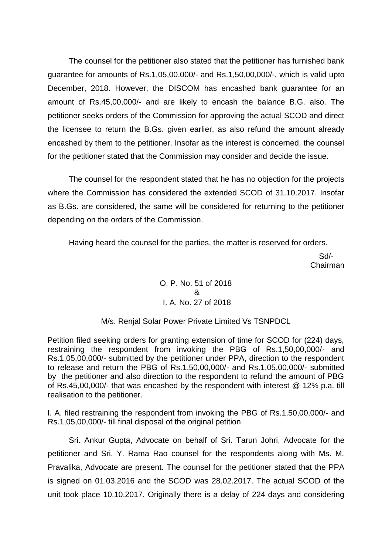The counsel for the petitioner also stated that the petitioner has furnished bank guarantee for amounts of Rs.1,05,00,000/- and Rs.1,50,00,000/-, which is valid upto December, 2018. However, the DISCOM has encashed bank guarantee for an amount of Rs.45,00,000/- and are likely to encash the balance B.G. also. The petitioner seeks orders of the Commission for approving the actual SCOD and direct the licensee to return the B.Gs. given earlier, as also refund the amount already encashed by them to the petitioner. Insofar as the interest is concerned, the counsel for the petitioner stated that the Commission may consider and decide the issue.

The counsel for the respondent stated that he has no objection for the projects where the Commission has considered the extended SCOD of 31.10.2017. Insofar as B.Gs. are considered, the same will be considered for returning to the petitioner depending on the orders of the Commission.

Having heard the counsel for the parties, the matter is reserved for orders.

 Sd/- Chairman

# O. P. No. 51 of 2018 & I. A. No. 27 of 2018

### M/s. Renjal Solar Power Private Limited Vs TSNPDCL

Petition filed seeking orders for granting extension of time for SCOD for (224) days, restraining the respondent from invoking the PBG of Rs.1,50,00,000/- and Rs.1,05,00,000/- submitted by the petitioner under PPA, direction to the respondent to release and return the PBG of Rs.1,50,00,000/- and Rs.1,05,00,000/- submitted by the petitioner and also direction to the respondent to refund the amount of PBG of Rs.45,00,000/- that was encashed by the respondent with interest @ 12% p.a. till realisation to the petitioner.

I. A. filed restraining the respondent from invoking the PBG of Rs.1,50,00,000/- and Rs.1,05,00,000/- till final disposal of the original petition.

Sri. Ankur Gupta, Advocate on behalf of Sri. Tarun Johri, Advocate for the petitioner and Sri. Y. Rama Rao counsel for the respondents along with Ms. M. Pravalika, Advocate are present. The counsel for the petitioner stated that the PPA is signed on 01.03.2016 and the SCOD was 28.02.2017. The actual SCOD of the unit took place 10.10.2017. Originally there is a delay of 224 days and considering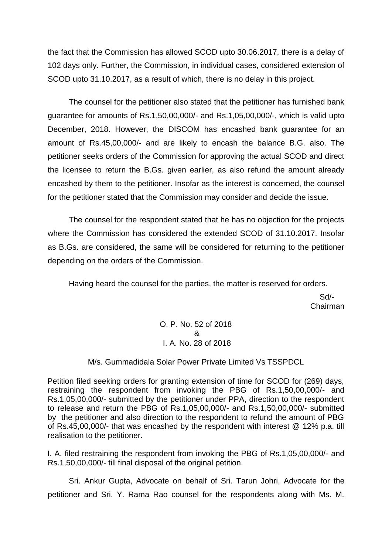the fact that the Commission has allowed SCOD upto 30.06.2017, there is a delay of 102 days only. Further, the Commission, in individual cases, considered extension of SCOD upto 31.10.2017, as a result of which, there is no delay in this project.

The counsel for the petitioner also stated that the petitioner has furnished bank guarantee for amounts of Rs.1,50,00,000/- and Rs.1,05,00,000/-, which is valid upto December, 2018. However, the DISCOM has encashed bank guarantee for an amount of Rs.45,00,000/- and are likely to encash the balance B.G. also. The petitioner seeks orders of the Commission for approving the actual SCOD and direct the licensee to return the B.Gs. given earlier, as also refund the amount already encashed by them to the petitioner. Insofar as the interest is concerned, the counsel for the petitioner stated that the Commission may consider and decide the issue.

The counsel for the respondent stated that he has no objection for the projects where the Commission has considered the extended SCOD of 31.10.2017. Insofar as B.Gs. are considered, the same will be considered for returning to the petitioner depending on the orders of the Commission.

Having heard the counsel for the parties, the matter is reserved for orders.

 Sd/- Chairman

> O. P. No. 52 of 2018 & I. A. No. 28 of 2018

# M/s. Gummadidala Solar Power Private Limited Vs TSSPDCL

Petition filed seeking orders for granting extension of time for SCOD for (269) days, restraining the respondent from invoking the PBG of Rs.1,50,00,000/- and Rs.1,05,00,000/- submitted by the petitioner under PPA, direction to the respondent to release and return the PBG of Rs.1,05,00,000/- and Rs.1,50,00,000/- submitted by the petitioner and also direction to the respondent to refund the amount of PBG of Rs.45,00,000/- that was encashed by the respondent with interest @ 12% p.a. till realisation to the petitioner.

I. A. filed restraining the respondent from invoking the PBG of Rs.1,05,00,000/- and Rs.1,50,00,000/- till final disposal of the original petition.

Sri. Ankur Gupta, Advocate on behalf of Sri. Tarun Johri, Advocate for the petitioner and Sri. Y. Rama Rao counsel for the respondents along with Ms. M.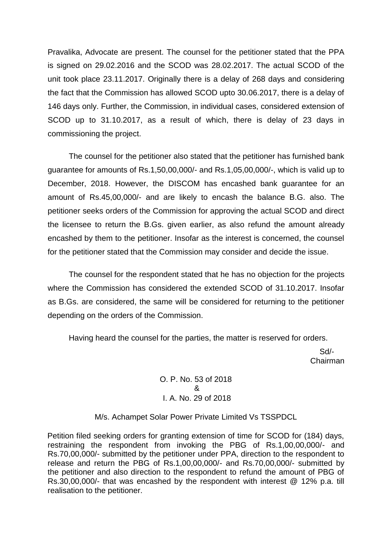Pravalika, Advocate are present. The counsel for the petitioner stated that the PPA is signed on 29.02.2016 and the SCOD was 28.02.2017. The actual SCOD of the unit took place 23.11.2017. Originally there is a delay of 268 days and considering the fact that the Commission has allowed SCOD upto 30.06.2017, there is a delay of 146 days only. Further, the Commission, in individual cases, considered extension of SCOD up to 31.10.2017, as a result of which, there is delay of 23 days in commissioning the project.

The counsel for the petitioner also stated that the petitioner has furnished bank guarantee for amounts of Rs.1,50,00,000/- and Rs.1,05,00,000/-, which is valid up to December, 2018. However, the DISCOM has encashed bank guarantee for an amount of Rs.45,00,000/- and are likely to encash the balance B.G. also. The petitioner seeks orders of the Commission for approving the actual SCOD and direct the licensee to return the B.Gs. given earlier, as also refund the amount already encashed by them to the petitioner. Insofar as the interest is concerned, the counsel for the petitioner stated that the Commission may consider and decide the issue.

The counsel for the respondent stated that he has no objection for the projects where the Commission has considered the extended SCOD of 31.10.2017. Insofar as B.Gs. are considered, the same will be considered for returning to the petitioner depending on the orders of the Commission.

Having heard the counsel for the parties, the matter is reserved for orders.

 Sd/- Chairman

> O. P. No. 53 of 2018 & I. A. No. 29 of 2018

M/s. Achampet Solar Power Private Limited Vs TSSPDCL

Petition filed seeking orders for granting extension of time for SCOD for (184) days, restraining the respondent from invoking the PBG of Rs.1,00,00,000/- and Rs.70,00,000/- submitted by the petitioner under PPA, direction to the respondent to release and return the PBG of Rs.1,00,00,000/- and Rs.70,00,000/- submitted by the petitioner and also direction to the respondent to refund the amount of PBG of Rs.30,00,000/- that was encashed by the respondent with interest @ 12% p.a. till realisation to the petitioner.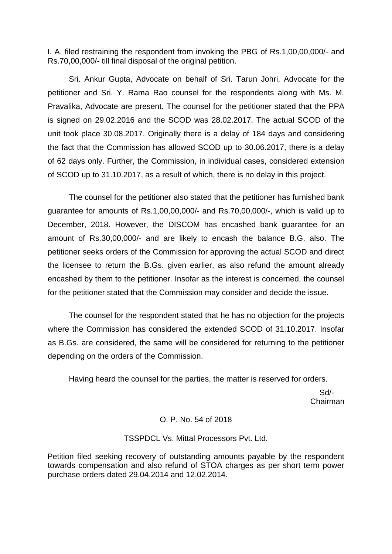I. A. filed restraining the respondent from invoking the PBG of Rs.1,00,00,000/- and Rs.70,00,000/- till final disposal of the original petition.

Sri. Ankur Gupta, Advocate on behalf of Sri. Tarun Johri, Advocate for the petitioner and Sri. Y. Rama Rao counsel for the respondents along with Ms. M. Pravalika, Advocate are present. The counsel for the petitioner stated that the PPA is signed on 29.02.2016 and the SCOD was 28.02.2017. The actual SCOD of the unit took place 30.08.2017. Originally there is a delay of 184 days and considering the fact that the Commission has allowed SCOD up to 30.06.2017, there is a delay of 62 days only. Further, the Commission, in individual cases, considered extension of SCOD up to 31.10.2017, as a result of which, there is no delay in this project.

The counsel for the petitioner also stated that the petitioner has furnished bank guarantee for amounts of Rs.1,00,00,000/- and Rs.70,00,000/-, which is valid up to December, 2018. However, the DISCOM has encashed bank guarantee for an amount of Rs.30,00,000/- and are likely to encash the balance B.G. also. The petitioner seeks orders of the Commission for approving the actual SCOD and direct the licensee to return the B.Gs. given earlier, as also refund the amount already encashed by them to the petitioner. Insofar as the interest is concerned, the counsel for the petitioner stated that the Commission may consider and decide the issue.

The counsel for the respondent stated that he has no objection for the projects where the Commission has considered the extended SCOD of 31.10.2017. Insofar as B.Gs. are considered, the same will be considered for returning to the petitioner depending on the orders of the Commission.

Having heard the counsel for the parties, the matter is reserved for orders.

 Sd/- Chairman

# O. P. No. 54 of 2018

### TSSPDCL Vs. Mittal Processors Pvt. Ltd.

Petition filed seeking recovery of outstanding amounts payable by the respondent towards compensation and also refund of STOA charges as per short term power purchase orders dated 29.04.2014 and 12.02.2014.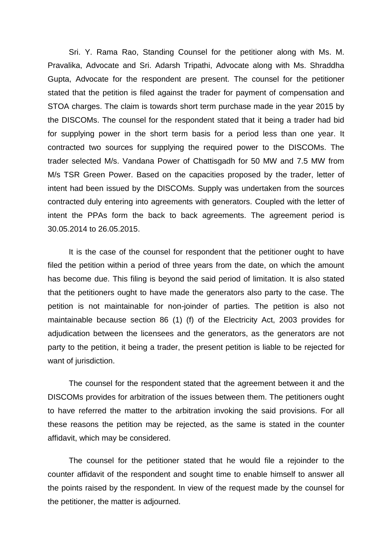Sri. Y. Rama Rao, Standing Counsel for the petitioner along with Ms. M. Pravalika, Advocate and Sri. Adarsh Tripathi, Advocate along with Ms. Shraddha Gupta, Advocate for the respondent are present. The counsel for the petitioner stated that the petition is filed against the trader for payment of compensation and STOA charges. The claim is towards short term purchase made in the year 2015 by the DISCOMs. The counsel for the respondent stated that it being a trader had bid for supplying power in the short term basis for a period less than one year. It contracted two sources for supplying the required power to the DISCOMs. The trader selected M/s. Vandana Power of Chattisgadh for 50 MW and 7.5 MW from M/s TSR Green Power. Based on the capacities proposed by the trader, letter of intent had been issued by the DISCOMs. Supply was undertaken from the sources contracted duly entering into agreements with generators. Coupled with the letter of intent the PPAs form the back to back agreements. The agreement period is 30.05.2014 to 26.05.2015.

It is the case of the counsel for respondent that the petitioner ought to have filed the petition within a period of three years from the date, on which the amount has become due. This filing is beyond the said period of limitation. It is also stated that the petitioners ought to have made the generators also party to the case. The petition is not maintainable for non-joinder of parties. The petition is also not maintainable because section 86 (1) (f) of the Electricity Act, 2003 provides for adjudication between the licensees and the generators, as the generators are not party to the petition, it being a trader, the present petition is liable to be rejected for want of jurisdiction.

The counsel for the respondent stated that the agreement between it and the DISCOMs provides for arbitration of the issues between them. The petitioners ought to have referred the matter to the arbitration invoking the said provisions. For all these reasons the petition may be rejected, as the same is stated in the counter affidavit, which may be considered.

The counsel for the petitioner stated that he would file a rejoinder to the counter affidavit of the respondent and sought time to enable himself to answer all the points raised by the respondent. In view of the request made by the counsel for the petitioner, the matter is adjourned.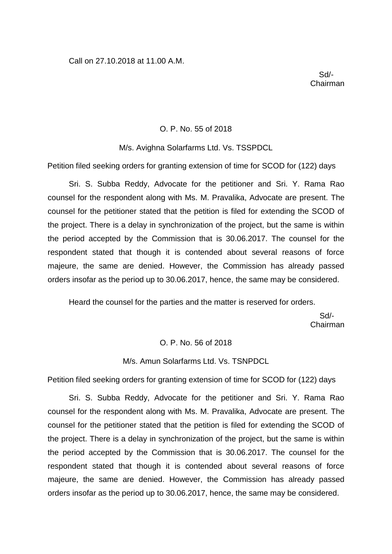Sd/- Chairman

#### O. P. No. 55 of 2018

#### M/s. Avighna Solarfarms Ltd. Vs. TSSPDCL

Petition filed seeking orders for granting extension of time for SCOD for (122) days

Sri. S. Subba Reddy, Advocate for the petitioner and Sri. Y. Rama Rao counsel for the respondent along with Ms. M. Pravalika, Advocate are present. The counsel for the petitioner stated that the petition is filed for extending the SCOD of the project. There is a delay in synchronization of the project, but the same is within the period accepted by the Commission that is 30.06.2017. The counsel for the respondent stated that though it is contended about several reasons of force majeure, the same are denied. However, the Commission has already passed orders insofar as the period up to 30.06.2017, hence, the same may be considered.

Heard the counsel for the parties and the matter is reserved for orders.

 Sd/- Chairman

#### O. P. No. 56 of 2018

#### M/s. Amun Solarfarms Ltd. Vs. TSNPDCL

Petition filed seeking orders for granting extension of time for SCOD for (122) days

Sri. S. Subba Reddy, Advocate for the petitioner and Sri. Y. Rama Rao counsel for the respondent along with Ms. M. Pravalika, Advocate are present. The counsel for the petitioner stated that the petition is filed for extending the SCOD of the project. There is a delay in synchronization of the project, but the same is within the period accepted by the Commission that is 30.06.2017. The counsel for the respondent stated that though it is contended about several reasons of force majeure, the same are denied. However, the Commission has already passed orders insofar as the period up to 30.06.2017, hence, the same may be considered.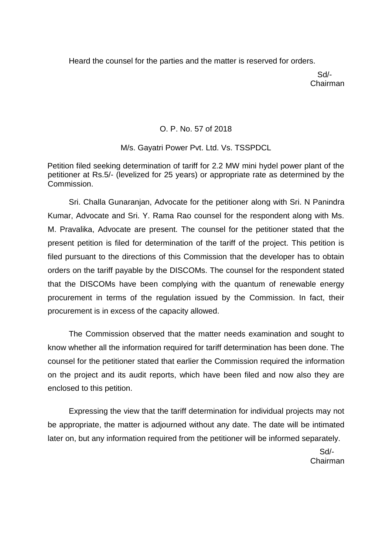Heard the counsel for the parties and the matter is reserved for orders.

 Sd/- Chairman

# O. P. No. 57 of 2018

M/s. Gayatri Power Pvt. Ltd. Vs. TSSPDCL

Petition filed seeking determination of tariff for 2.2 MW mini hydel power plant of the petitioner at Rs.5/- (levelized for 25 years) or appropriate rate as determined by the Commission.

Sri. Challa Gunaranjan, Advocate for the petitioner along with Sri. N Panindra Kumar, Advocate and Sri. Y. Rama Rao counsel for the respondent along with Ms. M. Pravalika, Advocate are present. The counsel for the petitioner stated that the present petition is filed for determination of the tariff of the project. This petition is filed pursuant to the directions of this Commission that the developer has to obtain orders on the tariff payable by the DISCOMs. The counsel for the respondent stated that the DISCOMs have been complying with the quantum of renewable energy procurement in terms of the regulation issued by the Commission. In fact, their procurement is in excess of the capacity allowed.

The Commission observed that the matter needs examination and sought to know whether all the information required for tariff determination has been done. The counsel for the petitioner stated that earlier the Commission required the information on the project and its audit reports, which have been filed and now also they are enclosed to this petition.

Expressing the view that the tariff determination for individual projects may not be appropriate, the matter is adjourned without any date. The date will be intimated later on, but any information required from the petitioner will be informed separately.

 Sd/- Chairman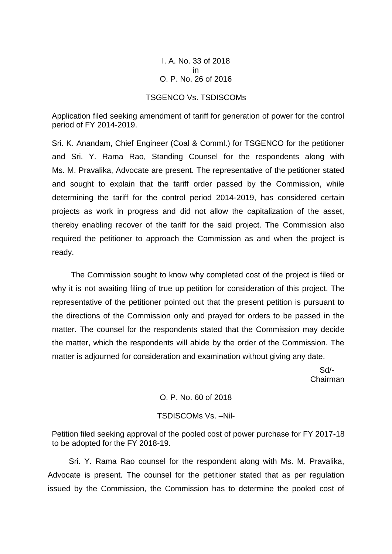I. A. No. 33 of 2018 in O. P. No. 26 of 2016

### TSGENCO Vs. TSDISCOMs

Application filed seeking amendment of tariff for generation of power for the control period of FY 2014-2019.

Sri. K. Anandam, Chief Engineer (Coal & Comml.) for TSGENCO for the petitioner and Sri. Y. Rama Rao, Standing Counsel for the respondents along with Ms. M. Pravalika, Advocate are present. The representative of the petitioner stated and sought to explain that the tariff order passed by the Commission, while determining the tariff for the control period 2014-2019, has considered certain projects as work in progress and did not allow the capitalization of the asset, thereby enabling recover of the tariff for the said project. The Commission also required the petitioner to approach the Commission as and when the project is ready.

The Commission sought to know why completed cost of the project is filed or why it is not awaiting filing of true up petition for consideration of this project. The representative of the petitioner pointed out that the present petition is pursuant to the directions of the Commission only and prayed for orders to be passed in the matter. The counsel for the respondents stated that the Commission may decide the matter, which the respondents will abide by the order of the Commission. The matter is adjourned for consideration and examination without giving any date.

 Sd/- Chairman

O. P. No. 60 of 2018

### TSDISCOMs Vs. –Nil-

Petition filed seeking approval of the pooled cost of power purchase for FY 2017-18 to be adopted for the FY 2018-19.

Sri. Y. Rama Rao counsel for the respondent along with Ms. M. Pravalika, Advocate is present. The counsel for the petitioner stated that as per regulation issued by the Commission, the Commission has to determine the pooled cost of